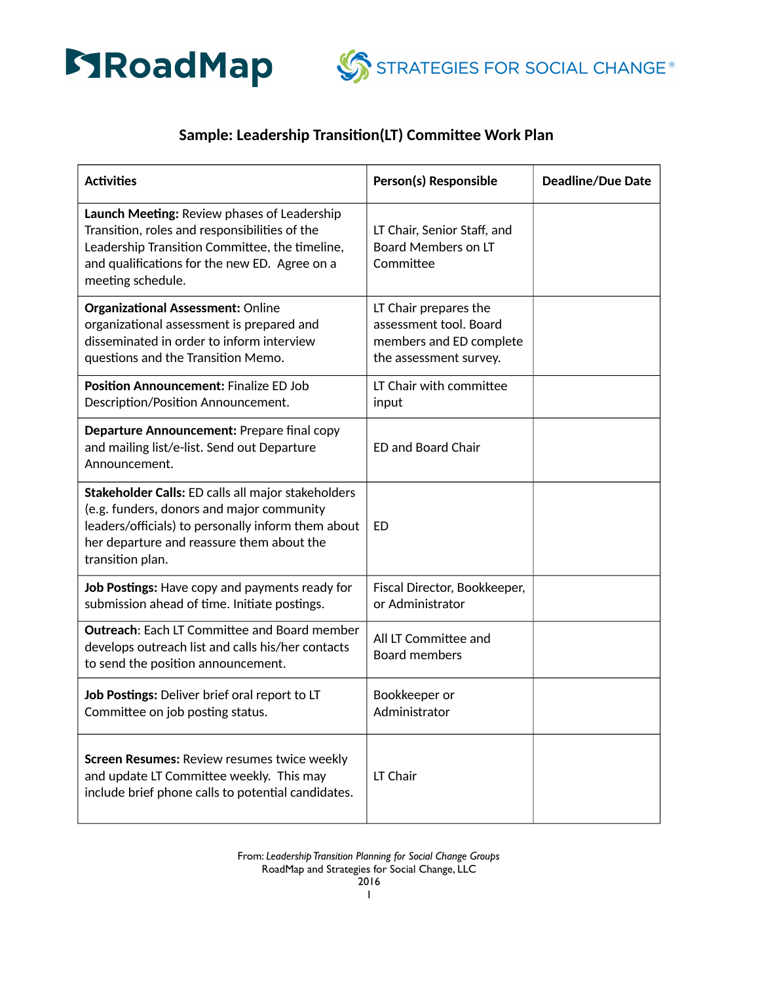



## **Sample: Leadership Transition(LT) Committee Work Plan**

| <b>Activities</b>                                                                                                                                                                                                      | Person(s) Responsible                                                                                | <b>Deadline/Due Date</b> |
|------------------------------------------------------------------------------------------------------------------------------------------------------------------------------------------------------------------------|------------------------------------------------------------------------------------------------------|--------------------------|
| Launch Meeting: Review phases of Leadership<br>Transition, roles and responsibilities of the<br>Leadership Transition Committee, the timeline,<br>and qualifications for the new ED. Agree on a<br>meeting schedule.   | LT Chair, Senior Staff, and<br>Board Members on LT<br>Committee                                      |                          |
| <b>Organizational Assessment: Online</b><br>organizational assessment is prepared and<br>disseminated in order to inform interview<br>questions and the Transition Memo.                                               | LT Chair prepares the<br>assessment tool. Board<br>members and ED complete<br>the assessment survey. |                          |
| <b>Position Announcement: Finalize ED Job</b><br>Description/Position Announcement.                                                                                                                                    | LT Chair with committee<br>input                                                                     |                          |
| Departure Announcement: Prepare final copy<br>and mailing list/e-list. Send out Departure<br>Announcement.                                                                                                             | <b>ED and Board Chair</b>                                                                            |                          |
| Stakeholder Calls: ED calls all major stakeholders<br>(e.g. funders, donors and major community<br>leaders/officials) to personally inform them about<br>her departure and reassure them about the<br>transition plan. | ED                                                                                                   |                          |
| Job Postings: Have copy and payments ready for<br>submission ahead of time. Initiate postings.                                                                                                                         | Fiscal Director, Bookkeeper,<br>or Administrator                                                     |                          |
| <b>Outreach: Each LT Committee and Board member</b><br>develops outreach list and calls his/her contacts<br>to send the position announcement.                                                                         | All LT Committee and<br><b>Board members</b>                                                         |                          |
| Job Postings: Deliver brief oral report to LT<br>Committee on job posting status.                                                                                                                                      | Bookkeeper or<br>Administrator                                                                       |                          |
| <b>Screen Resumes: Review resumes twice weekly</b><br>and update LT Committee weekly. This may<br>include brief phone calls to potential candidates.                                                                   | LT Chair                                                                                             |                          |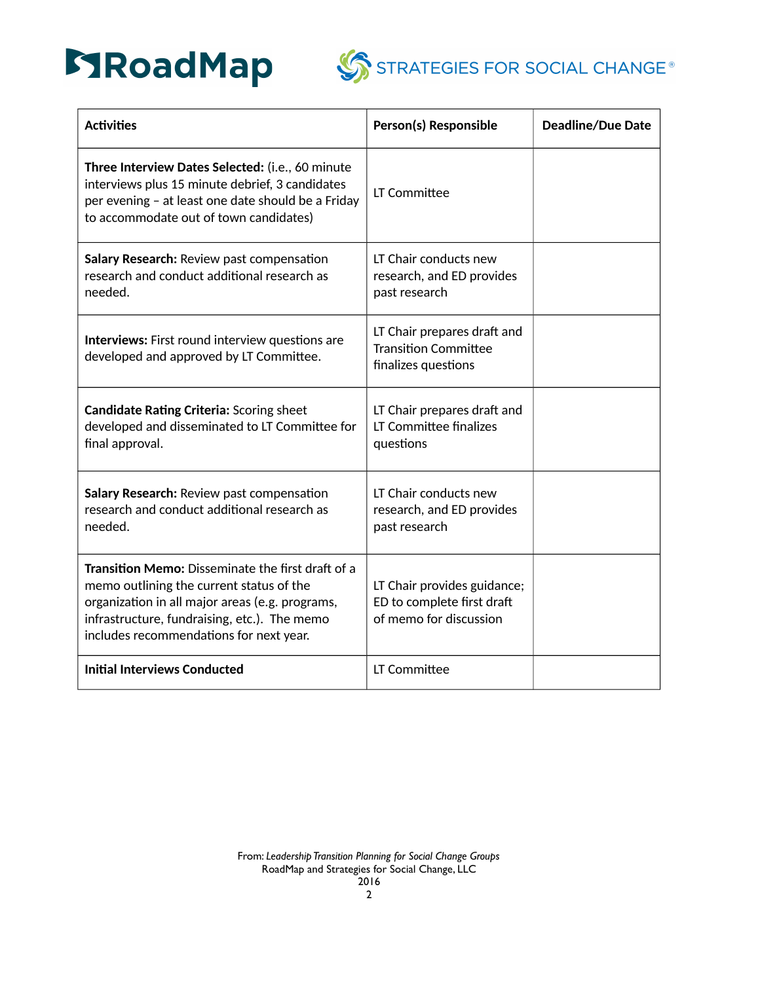



STRATEGIES FOR SOCIAL CHANGE<sup>®</sup>

| <b>Activities</b>                                                                                                                                                                                                                                  | Person(s) Responsible                                                               | <b>Deadline/Due Date</b> |
|----------------------------------------------------------------------------------------------------------------------------------------------------------------------------------------------------------------------------------------------------|-------------------------------------------------------------------------------------|--------------------------|
| Three Interview Dates Selected: (i.e., 60 minute<br>interviews plus 15 minute debrief, 3 candidates<br>per evening - at least one date should be a Friday<br>to accommodate out of town candidates)                                                | LT Committee                                                                        |                          |
| Salary Research: Review past compensation<br>research and conduct additional research as<br>needed.                                                                                                                                                | LT Chair conducts new<br>research, and ED provides<br>past research                 |                          |
| Interviews: First round interview questions are<br>developed and approved by LT Committee.                                                                                                                                                         | LT Chair prepares draft and<br><b>Transition Committee</b><br>finalizes questions   |                          |
| <b>Candidate Rating Criteria: Scoring sheet</b><br>developed and disseminated to LT Committee for<br>final approval.                                                                                                                               | LT Chair prepares draft and<br>LT Committee finalizes<br>questions                  |                          |
| Salary Research: Review past compensation<br>research and conduct additional research as<br>needed.                                                                                                                                                | LT Chair conducts new<br>research, and ED provides<br>past research                 |                          |
| <b>Transition Memo:</b> Disseminate the first draft of a<br>memo outlining the current status of the<br>organization in all major areas (e.g. programs,<br>infrastructure, fundraising, etc.). The memo<br>includes recommendations for next year. | LT Chair provides guidance;<br>ED to complete first draft<br>of memo for discussion |                          |
| <b>Initial Interviews Conducted</b>                                                                                                                                                                                                                | LT Committee                                                                        |                          |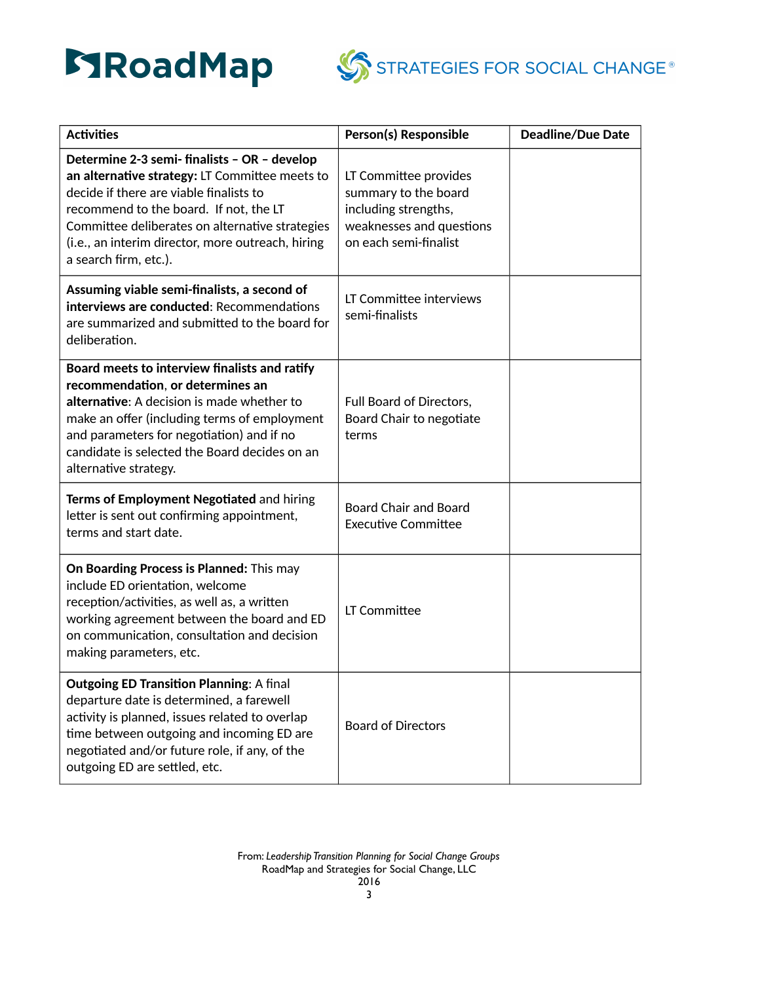



| <b>Activities</b>                                                                                                                                                                                                                                                                                                    | Person(s) Responsible                                                                                                      | <b>Deadline/Due Date</b> |
|----------------------------------------------------------------------------------------------------------------------------------------------------------------------------------------------------------------------------------------------------------------------------------------------------------------------|----------------------------------------------------------------------------------------------------------------------------|--------------------------|
| Determine 2-3 semi- finalists - OR - develop<br>an alternative strategy: LT Committee meets to<br>decide if there are viable finalists to<br>recommend to the board. If not, the LT<br>Committee deliberates on alternative strategies<br>(i.e., an interim director, more outreach, hiring<br>a search firm, etc.). | LT Committee provides<br>summary to the board<br>including strengths,<br>weaknesses and questions<br>on each semi-finalist |                          |
| Assuming viable semi-finalists, a second of<br>interviews are conducted: Recommendations<br>are summarized and submitted to the board for<br>deliberation.                                                                                                                                                           | LT Committee interviews<br>semi-finalists                                                                                  |                          |
| Board meets to interview finalists and ratify<br>recommendation, or determines an<br>alternative: A decision is made whether to<br>make an offer (including terms of employment<br>and parameters for negotiation) and if no<br>candidate is selected the Board decides on an<br>alternative strategy.               | Full Board of Directors,<br>Board Chair to negotiate<br>terms                                                              |                          |
| Terms of Employment Negotiated and hiring<br>letter is sent out confirming appointment,<br>terms and start date.                                                                                                                                                                                                     | <b>Board Chair and Board</b><br><b>Executive Committee</b>                                                                 |                          |
| On Boarding Process is Planned: This may<br>include ED orientation, welcome<br>reception/activities, as well as, a written<br>working agreement between the board and ED<br>on communication, consultation and decision<br>making parameters, etc.                                                                   | LT Committee                                                                                                               |                          |
| <b>Outgoing ED Transition Planning: A final</b><br>departure date is determined, a farewell<br>activity is planned, issues related to overlap<br>time between outgoing and incoming ED are<br>negotiated and/or future role, if any, of the<br>outgoing ED are settled, etc.                                         | <b>Board of Directors</b>                                                                                                  |                          |